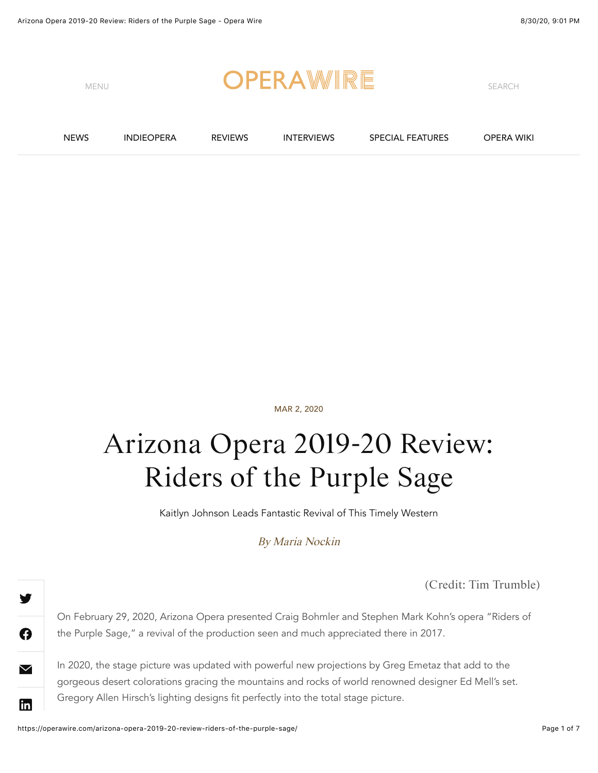

MAR 2, 2020

## Arizona Opera 2019-20 Review: Riders of the Purple Sage

Kaitlyn Johnson Leads Fantastic Revival of This Timely Western

By [Maria Nockin](https://operawire.com/author/marianockinopera/)

(Credit: Tim Trumble)

On February 29, 2020, Arizona Opera presented Craig Bohmler and Stephen Mark Kohn's opera "Riders of the Purple Sage," a revival of the production seen and much appreciated there in 2017.

In 2020, the stage picture was updated with powerful new projections by Greg Emetaz that add to the gorgeous desert colorations gracing the mountains and rocks of world renowned designer Ed Mell's set. Gregory Allen Hirsch's lighting designs fit perfectly into the total stage picture.

A

 $\blacktriangledown$ 

**lin**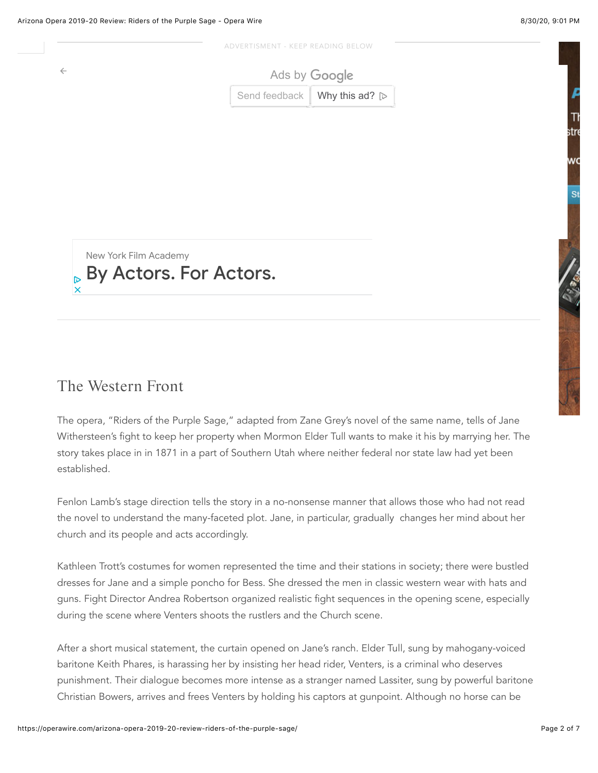stro

w





## The Western Front

The opera, "Riders of the Purple Sage," adapted from Zane Grey's novel of the same name, tells of Jane Withersteen's fight to keep her property when Mormon Elder Tull wants to make it his by marrying her. The story takes place in in 1871 in a part of Southern Utah where neither federal nor state law had yet been established.

Fenlon Lamb's stage direction tells the story in a no-nonsense manner that allows those who had not read the novel to understand the many-faceted plot. Jane, in particular, gradually changes her mind about her church and its people and acts accordingly.

Kathleen Trott's costumes for women represented the time and their stations in society; there were bustled dresses for Jane and a simple poncho for Bess. She dressed the men in classic western wear with hats and guns. Fight Director Andrea Robertson organized realistic fight sequences in the opening scene, especially during the scene where Venters shoots the rustlers and the Church scene.

After a short musical statement, the curtain opened on Jane's ranch. Elder Tull, sung by mahogany-voiced baritone Keith Phares, is harassing her by insisting her head rider, Venters, is a criminal who deserves punishment. Their dialogue becomes more intense as a stranger named Lassiter, sung by powerful baritone Christian Bowers, arrives and frees Venters by holding his captors at gunpoint. Although no horse can be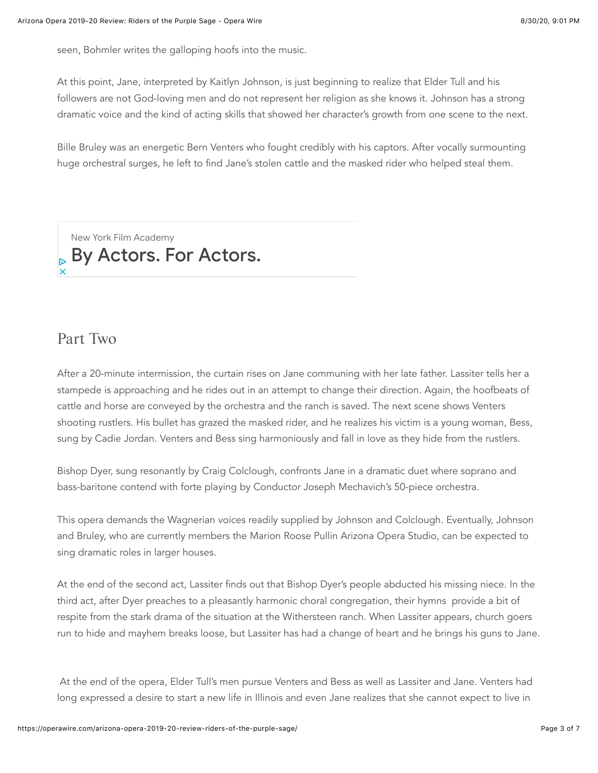seen, Bohmler writes the galloping hoofs into the music.

At this point, Jane, interpreted by Kaitlyn Johnson, is just beginning to realize that Elder Tull and his followers are not God-loving men and do not represent her religion as she knows it. Johnson has a strong dramatic voice and the kind of acting skills that showed her character's growth from one scene to the next.

Bille Bruley was an energetic Bern Venters who fought credibly with his captors. After vocally surmounting huge orchestral surges, he left to find Jane's stolen cattle and the masked rider who helped steal them.

[New York Film Academy](https://googleads.g.doubleclick.net/aclk?sa=l&ai=CY6HIKBNMX_3rO8SW1wbnzJkQvZbgkVugs-eVyQqZpsy_sxMQASDt0tw5YOHa8QOgAZ2Nis4DyAEBqAMByAPLBKoE9wFP0JCsGrj5DqednofEy71L4VK1Q0UV01dTswYW_jF1ArLgQrLw-bTzSeo21Ye4JHt2BgBla916aXzVX7h2s3GhHk4KdqK7okARDDHU84s0mXvSggysMdDzgCIXTETj_cvLlHfAoU7pW-hsA8tNW-SWKEPWjuwBnIY4XeR3_BFb-f4R-VS1yZe-frnQ1-l0BVCwOcPm4PsXJkuVqtwCL2aWsgt87WABbNJAE8utWSMX_WvLVT5o-02OG_G20XY2nOE6Bxs5-Xv6ED2pXNSYiYslQVaar4SAewyXf2AuxWqVniHWJ_J0nYK-Y7051L_LwOY4lFrjl17AwATh_MTiOoAH8ayGNagHjs4bqAfVyRuoB5PYG6gHugaoB_DZG6gH8tkbqAemvhuoB-zVG6gH89EbqAfs1RuoB5bYG6gHwtob2AcB0ggJCIDhgBAQARgfsQnKHy7bvGOoTIAKAZgLAcgLAdgTDYgUAg&ae=1&num=1&sig=AOD64_3Kh-x9GJoC1qwIL0Y6KdYU5_B4wQ&client=ca-pub-5269731775138695&nb=1&adurl=https://www.nyfa.edu/g-landing/acting-1b.php%3Futm_source%3DGoogle%26utm_medium%3Dcpc%26Keyword%3D%26Ad%3D409570297358%26utm_content%3Dtype%26Campaign%3DProsp%2520Acting%2520School%2520N.%2520Europe%2520(Intl%2520Display)%2520-%2520Keywords%2520Acting%2520By%2520Actors%26gclid%3DEAIaIQobChMI_Z_w-ujD6wIVRMvVCh1nZgYCEAEYASAAEgIdifD_BwE)  $_{\mathbb{P}}$  [By Actors. For Actors.](https://googleads.g.doubleclick.net/aclk?sa=l&ai=CY6HIKBNMX_3rO8SW1wbnzJkQvZbgkVugs-eVyQqZpsy_sxMQASDt0tw5YOHa8QOgAZ2Nis4DyAEBqAMByAPLBKoE9wFP0JCsGrj5DqednofEy71L4VK1Q0UV01dTswYW_jF1ArLgQrLw-bTzSeo21Ye4JHt2BgBla916aXzVX7h2s3GhHk4KdqK7okARDDHU84s0mXvSggysMdDzgCIXTETj_cvLlHfAoU7pW-hsA8tNW-SWKEPWjuwBnIY4XeR3_BFb-f4R-VS1yZe-frnQ1-l0BVCwOcPm4PsXJkuVqtwCL2aWsgt87WABbNJAE8utWSMX_WvLVT5o-02OG_G20XY2nOE6Bxs5-Xv6ED2pXNSYiYslQVaar4SAewyXf2AuxWqVniHWJ_J0nYK-Y7051L_LwOY4lFrjl17AwATh_MTiOoAH8ayGNagHjs4bqAfVyRuoB5PYG6gHugaoB_DZG6gH8tkbqAemvhuoB-zVG6gH89EbqAfs1RuoB5bYG6gHwtob2AcB0ggJCIDhgBAQARgfsQnKHy7bvGOoTIAKAZgLAcgLAdgTDYgUAg&ae=1&num=1&sig=AOD64_3Kh-x9GJoC1qwIL0Y6KdYU5_B4wQ&client=ca-pub-5269731775138695&nb=0&adurl=https://www.nyfa.edu/g-landing/acting-1b.php%3Futm_source%3DGoogle%26utm_medium%3Dcpc%26Keyword%3D%26Ad%3D409570297358%26utm_content%3Dtype%26Campaign%3DProsp%2520Acting%2520School%2520N.%2520Europe%2520(Intl%2520Display)%2520-%2520Keywords%2520Acting%2520By%2520Actors%26gclid%3DEAIaIQobChMI_Z_w-ujD6wIVRMvVCh1nZgYCEAEYASAAEgIdifD_BwE)

## Part Two

After a 20-minute intermission, the curtain rises on Jane communing with her late father. Lassiter tells her a stampede is approaching and he rides out in an attempt to change their direction. Again, the hoofbeats of cattle and horse are conveyed by the orchestra and the ranch is saved. The next scene shows Venters shooting rustlers. His bullet has grazed the masked rider, and he realizes his victim is a young woman, Bess, sung by Cadie Jordan. Venters and Bess sing harmoniously and fall in love as they hide from the rustlers.

Bishop Dyer, sung resonantly by Craig Colclough, confronts Jane in a dramatic duet where soprano and bass-baritone contend with forte playing by Conductor Joseph Mechavich's 50-piece orchestra.

This opera demands the Wagnerian voices readily supplied by Johnson and Colclough. Eventually, Johnson and Bruley, who are currently members the Marion Roose Pullin Arizona Opera Studio, can be expected to sing dramatic roles in larger houses.

At the end of the second act, Lassiter finds out that Bishop Dyer's people abducted his missing niece. In the third act, after Dyer preaches to a pleasantly harmonic choral congregation, their hymns provide a bit of respite from the stark drama of the situation at the Withersteen ranch. When Lassiter appears, church goers run to hide and mayhem breaks loose, but Lassiter has had a change of heart and he brings his guns to Jane.

At the end of the opera, Elder Tull's men pursue Venters and Bess as well as Lassiter and Jane. Venters had long expressed a desire to start a new life in Illinois and even Jane realizes that she cannot expect to live in